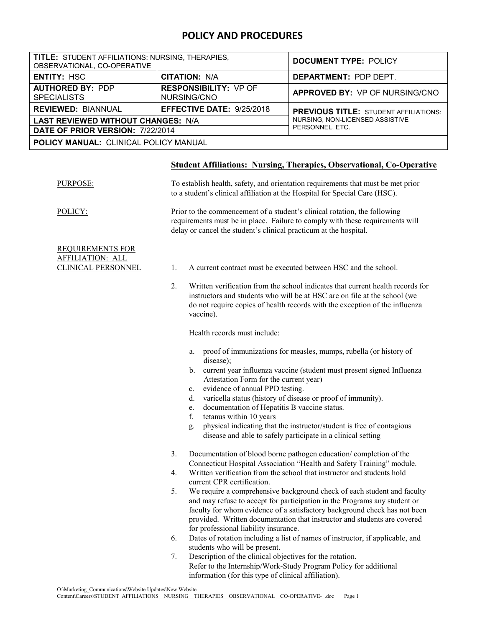# **POLICY AND PROCEDURES**

| <b>TITLE: STUDENT AFFILIATIONS: NURSING, THERAPIES,</b><br>OBSERVATIONAL, CO-OPERATIVE |                                             | <b>DOCUMENT TYPE: POLICY</b>                                                                       |  |
|----------------------------------------------------------------------------------------|---------------------------------------------|----------------------------------------------------------------------------------------------------|--|
| <b>ENTITY: HSC</b><br><b>CITATION: N/A</b>                                             |                                             | <b>DEPARTMENT: PDP DEPT.</b>                                                                       |  |
| <b>AUTHORED BY: PDP</b><br><b>SPECIALISTS</b>                                          | <b>RESPONSIBILITY: VP OF</b><br>NURSING/CNO | <b>APPROVED BY: VP OF NURSING/CNO</b>                                                              |  |
| <b>REVIEWED: BIANNUAL</b><br><b>EFFECTIVE DATE: 9/25/2018</b>                          |                                             | <b>PREVIOUS TITLE: STUDENT AFFILIATIONS:</b><br>NURSING, NON-LICENSED ASSISTIVE<br>PERSONNEL, ETC. |  |
| <b>LAST REVIEWED WITHOUT CHANGES: N/A</b>                                              |                                             |                                                                                                    |  |
| DATE OF PRIOR VERSION: 7/22/2014                                                       |                                             |                                                                                                    |  |
| <b>POLICY MANUAL: CLINICAL POLICY MANUAL</b>                                           |                                             |                                                                                                    |  |

## **Student Affiliations: Nursing, Therapies, Observational, Co-Operative**

| PURPOSE:                                           | To establish health, safety, and orientation requirements that must be met prior<br>to a student's clinical affiliation at the Hospital for Special Care (HSC).                                                                                                                                                                                                                                                                                                                                                                                                                        |  |
|----------------------------------------------------|----------------------------------------------------------------------------------------------------------------------------------------------------------------------------------------------------------------------------------------------------------------------------------------------------------------------------------------------------------------------------------------------------------------------------------------------------------------------------------------------------------------------------------------------------------------------------------------|--|
| POLICY:                                            | Prior to the commencement of a student's clinical rotation, the following<br>requirements must be in place. Failure to comply with these requirements will<br>delay or cancel the student's clinical practicum at the hospital.                                                                                                                                                                                                                                                                                                                                                        |  |
| <b>REQUIREMENTS FOR</b><br><b>AFFILIATION: ALL</b> |                                                                                                                                                                                                                                                                                                                                                                                                                                                                                                                                                                                        |  |
| CLINICAL PERSONNEL                                 | A current contract must be executed between HSC and the school.<br>1.                                                                                                                                                                                                                                                                                                                                                                                                                                                                                                                  |  |
|                                                    | Written verification from the school indicates that current health records for<br>2.<br>instructors and students who will be at HSC are on file at the school (we<br>do not require copies of health records with the exception of the influenza<br>vaccine).                                                                                                                                                                                                                                                                                                                          |  |
|                                                    | Health records must include:                                                                                                                                                                                                                                                                                                                                                                                                                                                                                                                                                           |  |
|                                                    | proof of immunizations for measles, mumps, rubella (or history of<br>a.<br>disease);<br>current year influenza vaccine (student must present signed Influenza<br>$\mathbf{b}$ .<br>Attestation Form for the current year)<br>evidence of annual PPD testing.<br>$c_{\cdot}$<br>varicella status (history of disease or proof of immunity).<br>d.<br>documentation of Hepatitis B vaccine status.<br>e.<br>tetanus within 10 years<br>f.<br>physical indicating that the instructor/student is free of contagious<br>g.<br>disease and able to safely participate in a clinical setting |  |
|                                                    | Documentation of blood borne pathogen education/completion of the<br>3 <sub>1</sub><br>Connecticut Hospital Association "Health and Safety Training" module.                                                                                                                                                                                                                                                                                                                                                                                                                           |  |
|                                                    | Written verification from the school that instructor and students hold<br>4.<br>current CPR certification.                                                                                                                                                                                                                                                                                                                                                                                                                                                                             |  |
|                                                    | 5.<br>We require a comprehensive background check of each student and faculty<br>and may refuse to accept for participation in the Programs any student or<br>faculty for whom evidence of a satisfactory background check has not been<br>provided. Written documentation that instructor and students are covered<br>for professional liability insurance.                                                                                                                                                                                                                           |  |
|                                                    | Dates of rotation including a list of names of instructor, if applicable, and<br>6.<br>students who will be present.                                                                                                                                                                                                                                                                                                                                                                                                                                                                   |  |
|                                                    | Description of the clinical objectives for the rotation.<br>7.<br>Refer to the Internship/Work-Study Program Policy for additional                                                                                                                                                                                                                                                                                                                                                                                                                                                     |  |

information (for this type of clinical affiliation).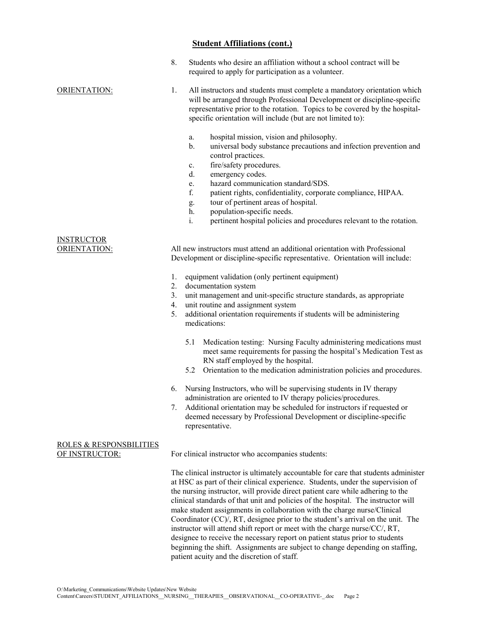### **Student Affiliations (cont.)**

- 8. Students who desire an affiliation without a school contract will be required to apply for participation as a volunteer.
- ORIENTATION: 1. All instructors and students must complete a mandatory orientation which will be arranged through Professional Development or discipline-specific representative prior to the rotation. Topics to be covered by the hospitalspecific orientation will include (but are not limited to):
	- a. hospital mission, vision and philosophy.
	- b. universal body substance precautions and infection prevention and control practices.
	- c. fire/safety procedures.
	- d. emergency codes.
	- e. hazard communication standard/SDS.
	- f. patient rights, confidentiality, corporate compliance, HIPAA.
	- g. tour of pertinent areas of hospital.
	- h. population-specific needs.
	- i. pertinent hospital policies and procedures relevant to the rotation.

INSTRUCTOR

ORIENTATION: All new instructors must attend an additional orientation with Professional Development or discipline-specific representative. Orientation will include:

- 1. equipment validation (only pertinent equipment)
- 2. documentation system
- 3. unit management and unit-specific structure standards, as appropriate
- 4. unit routine and assignment system
- 5. additional orientation requirements if students will be administering medications:
	- 5.1 Medication testing: Nursing Faculty administering medications must meet same requirements for passing the hospital's Medication Test as RN staff employed by the hospital.
	- 5.2 Orientation to the medication administration policies and procedures.
- 6. Nursing Instructors, who will be supervising students in IV therapy administration are oriented to IV therapy policies/procedures.
- 7. Additional orientation may be scheduled for instructors if requested or deemed necessary by Professional Development or discipline-specific representative.

# ROLES & RESPONSBILITIES

OF INSTRUCTOR: For clinical instructor who accompanies students:

The clinical instructor is ultimately accountable for care that students administer at HSC as part of their clinical experience. Students, under the supervision of the nursing instructor, will provide direct patient care while adhering to the clinical standards of that unit and policies of the hospital. The instructor will make student assignments in collaboration with the charge nurse/Clinical Coordinator (CC)/, RT, designee prior to the student's arrival on the unit. The instructor will attend shift report or meet with the charge nurse/CC/, RT, designee to receive the necessary report on patient status prior to students beginning the shift. Assignments are subject to change depending on staffing, patient acuity and the discretion of staff.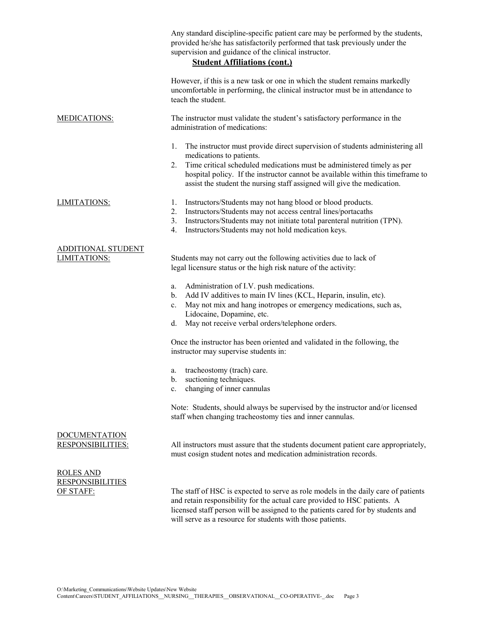|                                                                 | Any standard discipline-specific patient care may be performed by the students,<br>provided he/she has satisfactorily performed that task previously under the<br>supervision and guidance of the clinical instructor.<br><b>Student Affiliations (cont.)</b>                                                                                                |  |  |
|-----------------------------------------------------------------|--------------------------------------------------------------------------------------------------------------------------------------------------------------------------------------------------------------------------------------------------------------------------------------------------------------------------------------------------------------|--|--|
|                                                                 | However, if this is a new task or one in which the student remains markedly<br>uncomfortable in performing, the clinical instructor must be in attendance to<br>teach the student.                                                                                                                                                                           |  |  |
| <b>MEDICATIONS:</b>                                             | The instructor must validate the student's satisfactory performance in the<br>administration of medications:                                                                                                                                                                                                                                                 |  |  |
|                                                                 | The instructor must provide direct supervision of students administering all<br>1.<br>medications to patients.<br>Time critical scheduled medications must be administered timely as per<br>2.<br>hospital policy. If the instructor cannot be available within this timeframe to<br>assist the student the nursing staff assigned will give the medication. |  |  |
| LIMITATIONS:                                                    | Instructors/Students may not hang blood or blood products.<br>1.<br>Instructors/Students may not access central lines/portacaths<br>2.<br>Instructors/Students may not initiate total parenteral nutrition (TPN).<br>3.<br>Instructors/Students may not hold medication keys.<br>4.                                                                          |  |  |
| <b>ADDITIONAL STUDENT</b>                                       |                                                                                                                                                                                                                                                                                                                                                              |  |  |
| LIMITATIONS:                                                    | Students may not carry out the following activities due to lack of<br>legal licensure status or the high risk nature of the activity:                                                                                                                                                                                                                        |  |  |
|                                                                 | Administration of I.V. push medications.<br>a.<br>Add IV additives to main IV lines (KCL, Heparin, insulin, etc).<br>b.<br>May not mix and hang inotropes or emergency medications, such as,<br>$c_{\cdot}$<br>Lidocaine, Dopamine, etc.<br>d. May not receive verbal orders/telephone orders.                                                               |  |  |
|                                                                 | Once the instructor has been oriented and validated in the following, the<br>instructor may supervise students in:                                                                                                                                                                                                                                           |  |  |
|                                                                 | tracheostomy (trach) care.<br>a.<br>suctioning techniques.<br>b.<br>changing of inner cannulas<br>$c_{\cdot}$                                                                                                                                                                                                                                                |  |  |
|                                                                 | Note: Students, should always be supervised by the instructor and/or licensed<br>staff when changing tracheostomy ties and inner cannulas.                                                                                                                                                                                                                   |  |  |
| <b>DOCUMENTATION</b><br><b>RESPONSIBILITIES:</b>                | All instructors must assure that the students document patient care appropriately,<br>must cosign student notes and medication administration records.                                                                                                                                                                                                       |  |  |
| <b>ROLES AND</b><br><b>RESPONSIBILITIES</b><br><b>OF STAFF:</b> | The staff of HSC is expected to serve as role models in the daily care of patients<br>and retain responsibility for the actual care provided to HSC patients. A<br>licensed staff person will be assigned to the patients cared for by students and                                                                                                          |  |  |

will serve as a resource for students with those patients.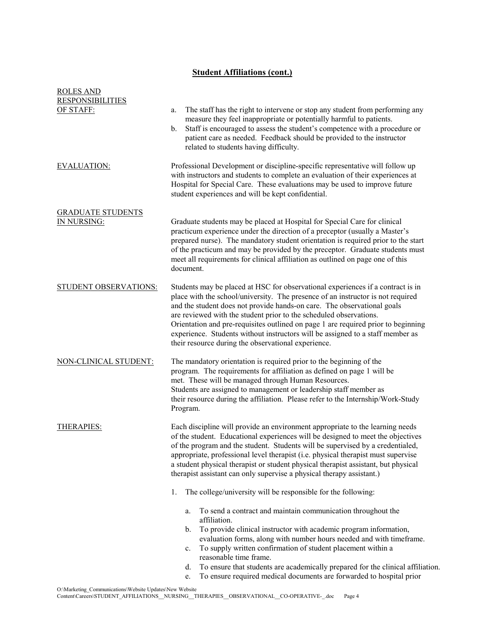# **Student Affiliations (cont.)**

| <b>ROLES AND</b><br><b>RESPONSIBILITIES</b>    |                                                                                                                                                                                                                                                                                                                                                                                                                                                                                                                                                   |  |
|------------------------------------------------|---------------------------------------------------------------------------------------------------------------------------------------------------------------------------------------------------------------------------------------------------------------------------------------------------------------------------------------------------------------------------------------------------------------------------------------------------------------------------------------------------------------------------------------------------|--|
| OF STAFF:                                      | The staff has the right to intervene or stop any student from performing any<br>a.<br>measure they feel inappropriate or potentially harmful to patients.<br>Staff is encouraged to assess the student's competence with a procedure or<br>$b_{-}$<br>patient care as needed. Feedback should be provided to the instructor<br>related to students having difficulty.                                                                                                                                                                             |  |
| <b>EVALUATION:</b>                             | Professional Development or discipline-specific representative will follow up<br>with instructors and students to complete an evaluation of their experiences at<br>Hospital for Special Care. These evaluations may be used to improve future<br>student experiences and will be kept confidential.                                                                                                                                                                                                                                              |  |
| <b>GRADUATE STUDENTS</b><br><b>IN NURSING:</b> | Graduate students may be placed at Hospital for Special Care for clinical<br>practicum experience under the direction of a preceptor (usually a Master's<br>prepared nurse). The mandatory student orientation is required prior to the start<br>of the practicum and may be provided by the preceptor. Graduate students must<br>meet all requirements for clinical affiliation as outlined on page one of this<br>document.                                                                                                                     |  |
| STUDENT OBSERVATIONS:                          | Students may be placed at HSC for observational experiences if a contract is in<br>place with the school/university. The presence of an instructor is not required<br>and the student does not provide hands-on care. The observational goals<br>are reviewed with the student prior to the scheduled observations.<br>Orientation and pre-requisites outlined on page 1 are required prior to beginning<br>experience. Students without instructors will be assigned to a staff member as<br>their resource during the observational experience. |  |
| NON-CLINICAL STUDENT:                          | The mandatory orientation is required prior to the beginning of the<br>program. The requirements for affiliation as defined on page 1 will be<br>met. These will be managed through Human Resources.<br>Students are assigned to management or leadership staff member as<br>their resource during the affiliation. Please refer to the Internship/Work-Study<br>Program.                                                                                                                                                                         |  |
| <b>THERAPIES:</b>                              | Each discipline will provide an environment appropriate to the learning needs<br>of the student. Educational experiences will be designed to meet the objectives<br>of the program and the student. Students will be supervised by a credentialed,<br>appropriate, professional level therapist (i.e. physical therapist must supervise<br>a student physical therapist or student physical therapist assistant, but physical<br>therapist assistant can only supervise a physical therapy assistant.)                                            |  |
|                                                | The college/university will be responsible for the following:<br>1.                                                                                                                                                                                                                                                                                                                                                                                                                                                                               |  |
|                                                | To send a contract and maintain communication throughout the<br>a.<br>affiliation.<br>To provide clinical instructor with academic program information,<br>$\mathbf{b}$ .<br>evaluation forms, along with number hours needed and with timeframe.<br>To supply written confirmation of student placement within a<br>$c_{\cdot}$<br>reasonable time frame.<br>To ensure that students are academically prepared for the clinical affiliation.<br>d.<br>To ensure required medical documents are forwarded to hospital prior<br>e.                 |  |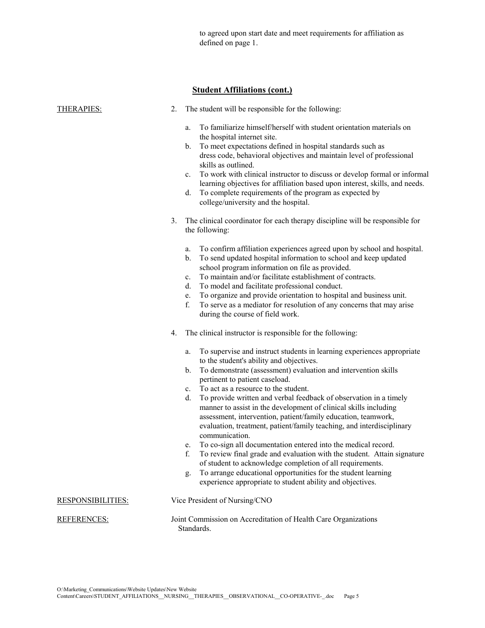to agreed upon start date and meet requirements for affiliation as defined on page 1.

# **Student Affiliations (cont.)**

| THERAPIES:         | The student will be responsible for the following:<br>2.                                                                                                                                                                                                                                                                                                                                                                                                                                                                                                                                                                                                                                                                                                                                                                                                                                                                                                      |
|--------------------|---------------------------------------------------------------------------------------------------------------------------------------------------------------------------------------------------------------------------------------------------------------------------------------------------------------------------------------------------------------------------------------------------------------------------------------------------------------------------------------------------------------------------------------------------------------------------------------------------------------------------------------------------------------------------------------------------------------------------------------------------------------------------------------------------------------------------------------------------------------------------------------------------------------------------------------------------------------|
|                    | To familiarize himself/herself with student orientation materials on<br>a.<br>the hospital internet site.<br>To meet expectations defined in hospital standards such as<br>b.<br>dress code, behavioral objectives and maintain level of professional<br>skills as outlined.<br>To work with clinical instructor to discuss or develop formal or informal<br>$c_{\cdot}$<br>learning objectives for affiliation based upon interest, skills, and needs.<br>To complete requirements of the program as expected by<br>d.<br>college/university and the hospital.<br>The clinical coordinator for each therapy discipline will be responsible for<br>3.                                                                                                                                                                                                                                                                                                         |
|                    | the following:                                                                                                                                                                                                                                                                                                                                                                                                                                                                                                                                                                                                                                                                                                                                                                                                                                                                                                                                                |
|                    | To confirm affiliation experiences agreed upon by school and hospital.<br>a.<br>To send updated hospital information to school and keep updated<br>b.<br>school program information on file as provided.<br>To maintain and/or facilitate establishment of contracts.<br>$c_{\cdot}$<br>To model and facilitate professional conduct.<br>d.<br>To organize and provide orientation to hospital and business unit.<br>e.<br>f.<br>To serve as a mediator for resolution of any concerns that may arise<br>during the course of field work.                                                                                                                                                                                                                                                                                                                                                                                                                     |
|                    | The clinical instructor is responsible for the following:<br>4.                                                                                                                                                                                                                                                                                                                                                                                                                                                                                                                                                                                                                                                                                                                                                                                                                                                                                               |
|                    | To supervise and instruct students in learning experiences appropriate<br>a.<br>to the student's ability and objectives.<br>To demonstrate (assessment) evaluation and intervention skills<br>b.<br>pertinent to patient caseload.<br>To act as a resource to the student.<br>$c_{\cdot}$<br>To provide written and verbal feedback of observation in a timely<br>d.<br>manner to assist in the development of clinical skills including<br>assessment, intervention, patient/family education, teamwork,<br>evaluation, treatment, patient/family teaching, and interdisciplinary<br>communication.<br>To co-sign all documentation entered into the medical record.<br>e.<br>f.<br>To review final grade and evaluation with the student. Attain signature<br>of student to acknowledge completion of all requirements.<br>To arrange educational opportunities for the student learning<br>g.<br>experience appropriate to student ability and objectives. |
| RESPONSIBILITIES:  | Vice President of Nursing/CNO                                                                                                                                                                                                                                                                                                                                                                                                                                                                                                                                                                                                                                                                                                                                                                                                                                                                                                                                 |
| <b>REFERENCES:</b> | Joint Commission on Accreditation of Health Care Organizations<br>Standards.                                                                                                                                                                                                                                                                                                                                                                                                                                                                                                                                                                                                                                                                                                                                                                                                                                                                                  |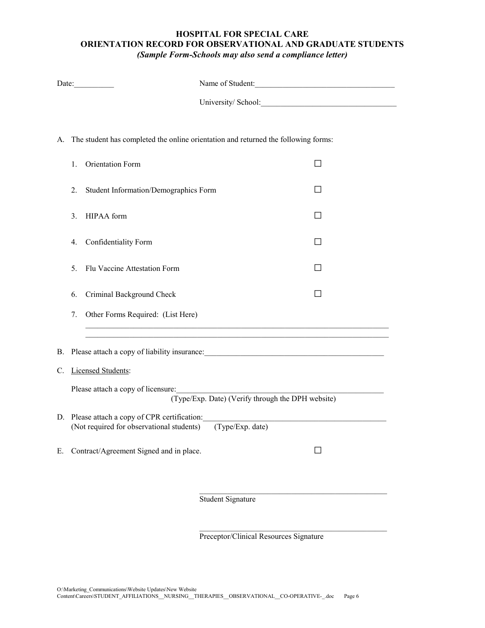### **HOSPITAL FOR SPECIAL CARE ORIENTATION RECORD FOR OBSERVATIONAL AND GRADUATE STUDENTS** *(Sample Form-Schools may also send a compliance letter)*

|    | Name of Student:<br>Date:                                                                                        |                                         |                          |  |  |
|----|------------------------------------------------------------------------------------------------------------------|-----------------------------------------|--------------------------|--|--|
|    |                                                                                                                  |                                         |                          |  |  |
|    | A. The student has completed the online orientation and returned the following forms:                            |                                         |                          |  |  |
|    | 1.                                                                                                               | Orientation Form                        | $\mathsf{L}$             |  |  |
|    | 2.                                                                                                               | Student Information/Demographics Form   | $\perp$                  |  |  |
|    | 3.                                                                                                               | HIPAA form                              | $\perp$                  |  |  |
|    | 4.                                                                                                               | Confidentiality Form                    | $\perp$                  |  |  |
|    | 5.                                                                                                               | Flu Vaccine Attestation Form            | ΙI                       |  |  |
|    | 6.                                                                                                               | Criminal Background Check               | ΙI                       |  |  |
|    | 7.                                                                                                               | Other Forms Required: (List Here)       |                          |  |  |
| В. | and the control of the control of the control of the control of the control of the control of the control of the |                                         |                          |  |  |
|    | C. Licensed Students:                                                                                            |                                         |                          |  |  |
|    | Please attach a copy of licensure:<br>(Type/Exp. Date) (Verify through the DPH website)                          |                                         |                          |  |  |
|    | D. Please attach a copy of CPR certification:<br>(Not required for observational students) (Type/Exp. date)      |                                         |                          |  |  |
| Е. |                                                                                                                  | Contract/Agreement Signed and in place. | ΙI                       |  |  |
|    |                                                                                                                  |                                         | <b>Student Signature</b> |  |  |
|    |                                                                                                                  |                                         |                          |  |  |

Preceptor/Clinical Resources Signature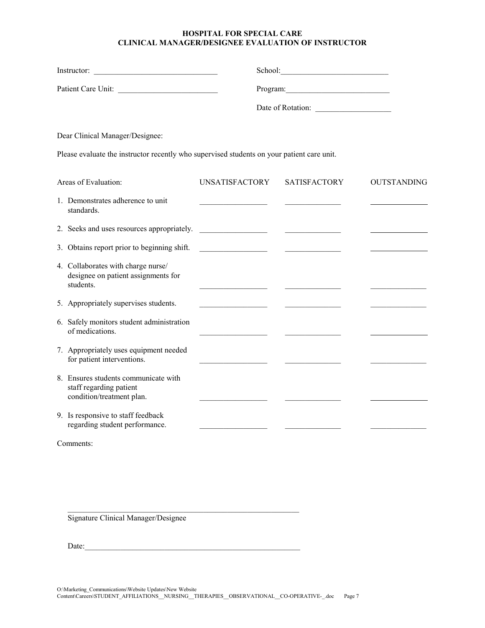#### **HOSPITAL FOR SPECIAL CARE CLINICAL MANAGER/DESIGNEE EVALUATION OF INSTRUCTOR**

| Instructor: |                                                                                              |                                                                                                                       | School:             |                    |
|-------------|----------------------------------------------------------------------------------------------|-----------------------------------------------------------------------------------------------------------------------|---------------------|--------------------|
|             |                                                                                              |                                                                                                                       |                     |                    |
|             |                                                                                              |                                                                                                                       | Date of Rotation:   |                    |
|             | Dear Clinical Manager/Designee:                                                              |                                                                                                                       |                     |                    |
|             | Please evaluate the instructor recently who supervised students on your patient care unit.   |                                                                                                                       |                     |                    |
|             | Areas of Evaluation:                                                                         | <b>UNSATISFACTORY</b>                                                                                                 | <b>SATISFACTORY</b> | <b>OUTSTANDING</b> |
|             | 1. Demonstrates adherence to unit<br>standards.                                              |                                                                                                                       |                     |                    |
|             | 2. Seeks and uses resources appropriately.                                                   |                                                                                                                       |                     |                    |
|             | 3. Obtains report prior to beginning shift.                                                  | <u> 1999 - Johann Harry Harry Harry Harry Harry Harry Harry Harry Harry Harry Harry Harry Harry Harry Harry Harry</u> |                     |                    |
|             | 4. Collaborates with charge nurse/<br>designee on patient assignments for<br>students.       | <u> 1989 - John Barn Barn, amerikansk politiker</u>                                                                   |                     |                    |
|             | 5. Appropriately supervises students.                                                        |                                                                                                                       |                     |                    |
|             | 6. Safely monitors student administration<br>of medications.                                 |                                                                                                                       |                     |                    |
|             | 7. Appropriately uses equipment needed<br>for patient interventions.                         |                                                                                                                       |                     |                    |
|             | 8. Ensures students communicate with<br>staff regarding patient<br>condition/treatment plan. |                                                                                                                       |                     |                    |
|             | 9. Is responsive to staff feedback<br>regarding student performance.                         |                                                                                                                       |                     |                    |
|             | Comments:                                                                                    |                                                                                                                       |                     |                    |

Signature Clinical Manager/Designee

Date:

\_\_\_\_\_\_\_\_\_\_\_\_\_\_\_\_\_\_\_\_\_\_\_\_\_\_\_\_\_\_\_\_\_\_\_\_\_\_\_\_\_\_\_\_\_\_\_\_\_\_\_\_\_\_\_\_\_\_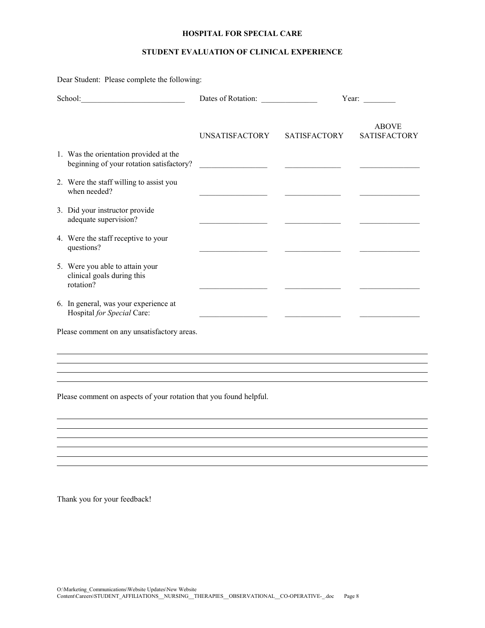### **STUDENT EVALUATION OF CLINICAL EXPERIENCE**

| Dear Student: Please complete the following:                                                                                   |                                                                                    |                       |                     |                                     |  |
|--------------------------------------------------------------------------------------------------------------------------------|------------------------------------------------------------------------------------|-----------------------|---------------------|-------------------------------------|--|
| School:<br><u> 1989 - Johann Barn, mars eta bainar eta baina eta baina eta baina eta baina eta baina eta baina eta baina e</u> |                                                                                    | Dates of Rotation:    |                     | Year:                               |  |
|                                                                                                                                |                                                                                    | <b>UNSATISFACTORY</b> | <b>SATISFACTORY</b> | <b>ABOVE</b><br><b>SATISFACTORY</b> |  |
|                                                                                                                                | 1. Was the orientation provided at the<br>beginning of your rotation satisfactory? |                       |                     |                                     |  |
|                                                                                                                                | 2. Were the staff willing to assist you<br>when needed?                            |                       |                     |                                     |  |
|                                                                                                                                | 3. Did your instructor provide<br>adequate supervision?                            |                       |                     |                                     |  |
|                                                                                                                                | 4. Were the staff receptive to your<br>questions?                                  |                       |                     |                                     |  |
|                                                                                                                                | 5. Were you able to attain your<br>clinical goals during this<br>rotation?         |                       |                     |                                     |  |
|                                                                                                                                | 6. In general, was your experience at<br>Hospital for Special Care:                |                       |                     |                                     |  |
|                                                                                                                                | Please comment on any unsatisfactory areas.                                        |                       |                     |                                     |  |

<u> 1989 - Johann Stoff, amerikansk politiker (d. 1989)</u>

Please comment on aspects of your rotation that you found helpful.

Thank you for your feedback!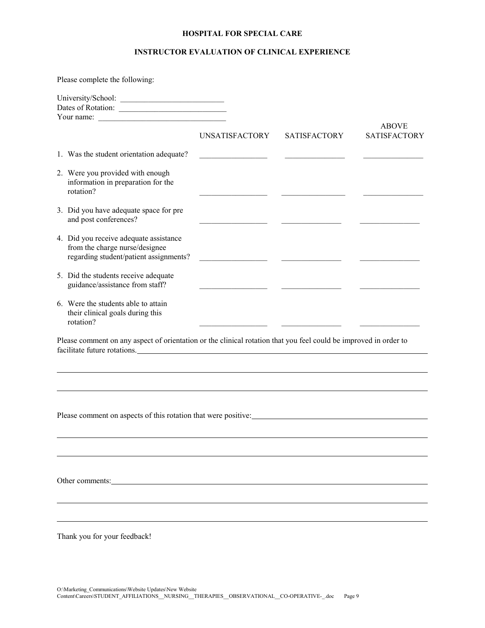### **INSTRUCTOR EVALUATION OF CLINICAL EXPERIENCE**

Please complete the following:

| Dates of Rotation:<br>Your name: $\qquad \qquad$                                                                                                 |                       |                     |                                     |
|--------------------------------------------------------------------------------------------------------------------------------------------------|-----------------------|---------------------|-------------------------------------|
|                                                                                                                                                  | <b>UNSATISFACTORY</b> | <b>SATISFACTORY</b> | <b>ABOVE</b><br><b>SATISFACTORY</b> |
| 1. Was the student orientation adequate?                                                                                                         |                       |                     |                                     |
| 2. Were you provided with enough<br>information in preparation for the<br>rotation?                                                              |                       |                     |                                     |
| 3. Did you have adequate space for pre<br>and post conferences?                                                                                  |                       |                     |                                     |
| 4. Did you receive adequate assistance<br>from the charge nurse/designee<br>regarding student/patient assignments?                               |                       |                     |                                     |
| 5. Did the students receive adequate<br>guidance/assistance from staff?                                                                          |                       |                     |                                     |
| 6. Were the students able to attain<br>their clinical goals during this<br>rotation?                                                             |                       |                     |                                     |
| Please comment on any aspect of orientation or the clinical rotation that you feel could be improved in order to<br>facilitate future rotations. |                       |                     |                                     |
|                                                                                                                                                  |                       |                     |                                     |

Please comment on aspects of this rotation that were positive:

Other comments:

Thank you for your feedback!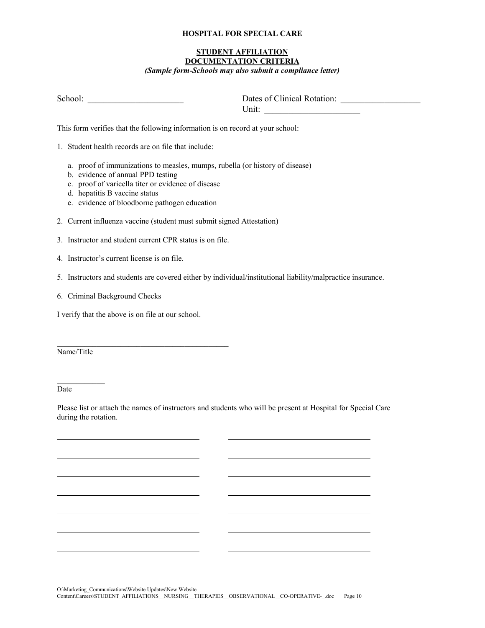# **STUDENT AFFILIATION DOCUMENTATION CRITERIA**

*(Sample form-Schools may also submit a compliance letter)*

| School:                                                                        | Dates of Clinical Rotation: |  |
|--------------------------------------------------------------------------------|-----------------------------|--|
|                                                                                | Unit:                       |  |
| This form verifies that the following information is on record at your school: |                             |  |

1. Student health records are on file that include:

- a. proof of immunizations to measles, mumps, rubella (or history of disease)
- b. evidence of annual PPD testing
- c. proof of varicella titer or evidence of disease
- d. hepatitis B vaccine status
- e. evidence of bloodborne pathogen education
- 2. Current influenza vaccine (student must submit signed Attestation)
- 3. Instructor and student current CPR status is on file.
- 4. Instructor's current license is on file.
- 5. Instructors and students are covered either by individual/institutional liability/malpractice insurance.
- 6. Criminal Background Checks

I verify that the above is on file at our school.

\_\_\_\_\_\_\_\_\_\_\_\_\_\_\_\_\_\_\_\_\_\_\_\_\_\_\_\_\_\_\_\_\_\_\_\_\_\_\_\_\_\_\_

Name/Title

 $\mathcal{L}$  and  $\mathcal{L}$ 

Date

Please list or attach the names of instructors and students who will be present at Hospital for Special Care during the rotation.

O:\Marketing\_Communications\Website Updates\New Website Content\Careers\STUDENT\_AFFILIATIONS\_\_NURSING\_\_THERAPIES\_\_OBSERVATIONAL\_\_CO-OPERATIVE-\_.doc Page 10